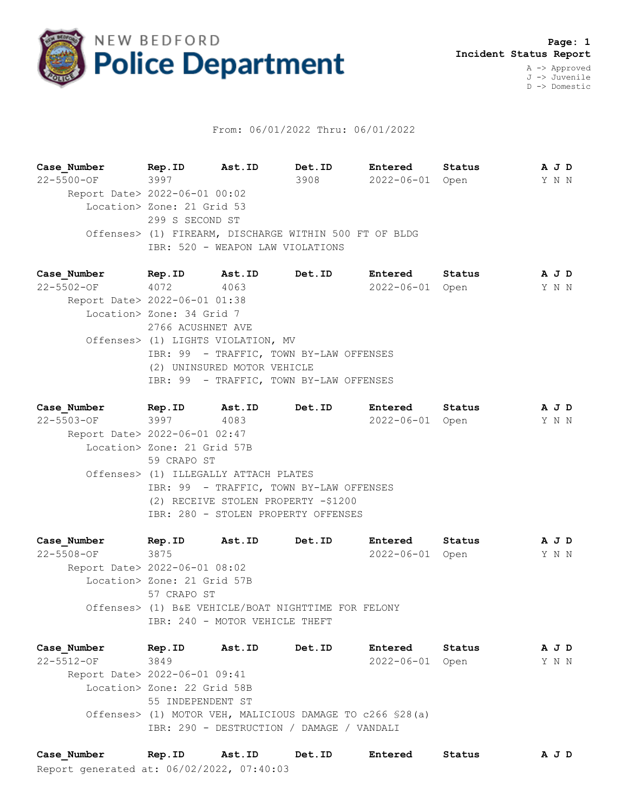

## From: 06/01/2022 Thru: 06/01/2022

**Case\_Number Rep.ID Ast.ID Det.ID Entered Status A J D** 22-5500-OF 3997 3908 2022-06-01 Open Y N N Report Date> 2022-06-01 00:02 Location> Zone: 21 Grid 53 299 S SECOND ST Offenses> (1) FIREARM, DISCHARGE WITHIN 500 FT OF BLDG IBR: 520 - WEAPON LAW VIOLATIONS

**Case\_Number Rep.ID Ast.ID Det.ID Entered Status A J D** 22-5502-OF 4072 4063 2022-06-01 Open Y N N Report Date> 2022-06-01 01:38 Location> Zone: 34 Grid 7 2766 ACUSHNET AVE Offenses> (1) LIGHTS VIOLATION, MV IBR: 99 - TRAFFIC, TOWN BY-LAW OFFENSES (2) UNINSURED MOTOR VEHICLE IBR: 99 - TRAFFIC, TOWN BY-LAW OFFENSES

**Case\_Number Rep.ID Ast.ID Det.ID Entered Status A J D** 22-5503-OF 3997 4083 2022-06-01 Open Y N N Report Date> 2022-06-01 02:47 Location> Zone: 21 Grid 57B 59 CRAPO ST Offenses> (1) ILLEGALLY ATTACH PLATES IBR: 99 - TRAFFIC, TOWN BY-LAW OFFENSES (2) RECEIVE STOLEN PROPERTY -\$1200 IBR: 280 - STOLEN PROPERTY OFFENSES

**Case\_Number Rep.ID Ast.ID Det.ID Entered Status A J D** 22-5508-OF 3875 2022-06-01 Open Y N N Report Date> 2022-06-01 08:02 Location> Zone: 21 Grid 57B 57 CRAPO ST Offenses> (1) B&E VEHICLE/BOAT NIGHTTIME FOR FELONY IBR: 240 - MOTOR VEHICLE THEFT

**Case\_Number Rep.ID Ast.ID Det.ID Entered Status A J D** 22-5512-OF 3849 2022-06-01 Open Y N N Report Date> 2022-06-01 09:41 Location> Zone: 22 Grid 58B 55 INDEPENDENT ST Offenses> (1) MOTOR VEH, MALICIOUS DAMAGE TO c266 §28(a) IBR: 290 - DESTRUCTION / DAMAGE / VANDALI

Report generated at: 06/02/2022, 07:40:03 **Case\_Number Rep.ID Ast.ID Det.ID Entered Status A J D**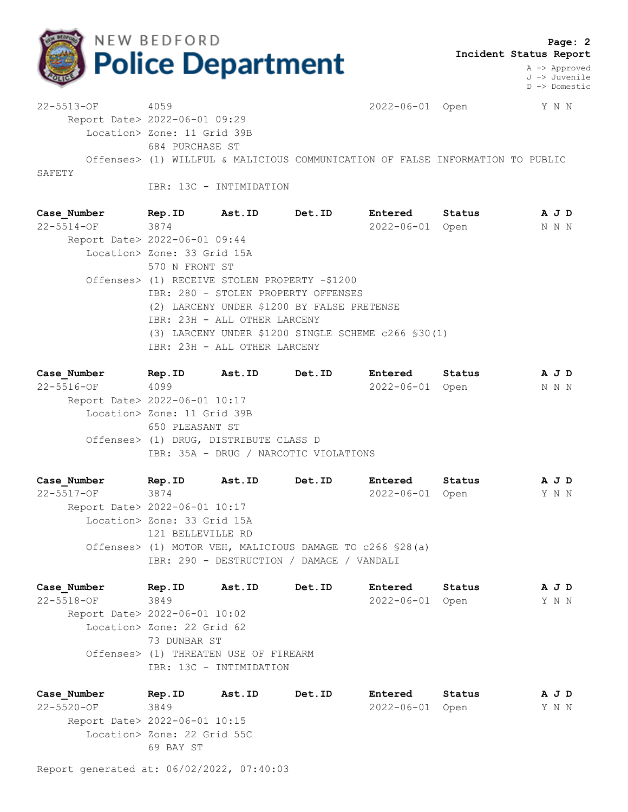

A -> Approved J -> Juvenile D -> Domestic

22-5513-OF 4059 2022-06-01 Open Y N N Report Date> 2022-06-01 09:29 Location> Zone: 11 Grid 39B 684 PURCHASE ST Offenses> (1) WILLFUL & MALICIOUS COMMUNICATION OF FALSE INFORMATION TO PUBLIC SAFETY

IBR: 13C - INTIMIDATION

**Case\_Number Rep.ID Ast.ID Det.ID Entered Status A J D** 22-5514-OF 3874 2022-06-01 Open N N N Report Date> 2022-06-01 09:44 Location> Zone: 33 Grid 15A 570 N FRONT ST Offenses> (1) RECEIVE STOLEN PROPERTY -\$1200 IBR: 280 - STOLEN PROPERTY OFFENSES (2) LARCENY UNDER \$1200 BY FALSE PRETENSE IBR: 23H - ALL OTHER LARCENY (3) LARCENY UNDER \$1200 SINGLE SCHEME c266 §30(1) IBR: 23H - ALL OTHER LARCENY

**Case\_Number Rep.ID Ast.ID Det.ID Entered Status A J D** 22-5516-OF 4099 2022-06-01 Open N N N Report Date> 2022-06-01 10:17 Location> Zone: 11 Grid 39B 650 PLEASANT ST Offenses> (1) DRUG, DISTRIBUTE CLASS D IBR: 35A - DRUG / NARCOTIC VIOLATIONS

**Case\_Number Rep.ID Ast.ID Det.ID Entered Status A J D** 22-5517-OF 3874 2022-06-01 Open Y N N Report Date> 2022-06-01 10:17 Location> Zone: 33 Grid 15A 121 BELLEVILLE RD Offenses> (1) MOTOR VEH, MALICIOUS DAMAGE TO c266 §28(a) IBR: 290 - DESTRUCTION / DAMAGE / VANDALI

**Case\_Number Rep.ID Ast.ID Det.ID Entered Status A J D** 22-5518-OF 3849 2022-06-01 Open Y N N Report Date> 2022-06-01 10:02 Location> Zone: 22 Grid 62 73 DUNBAR ST Offenses> (1) THREATEN USE OF FIREARM IBR: 13C - INTIMIDATION

**Case\_Number Rep.ID Ast.ID Det.ID Entered Status A J D** 22-5520-OF 3849 2022-06-01 Open Y N N Report Date> 2022-06-01 10:15 Location> Zone: 22 Grid 55C 69 BAY ST

Report generated at: 06/02/2022, 07:40:03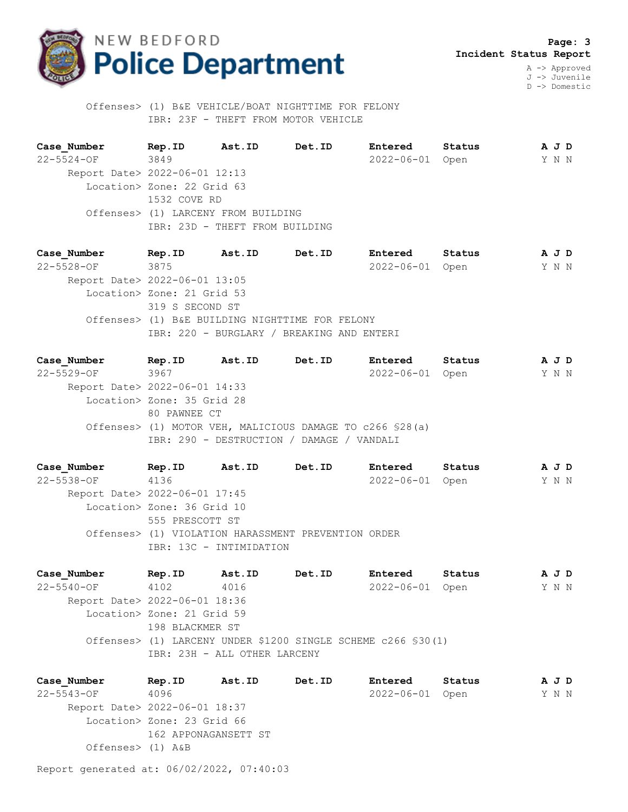

 **Page: 3 Incident Status Report** A -> Approved

J -> Juvenile D -> Domestic

 Offenses> (1) B&E VEHICLE/BOAT NIGHTTIME FOR FELONY IBR: 23F - THEFT FROM MOTOR VEHICLE

**Case\_Number Rep.ID Ast.ID Det.ID Entered Status A J D** 22-5524-OF 3849 2022-06-01 Open Y N N Report Date> 2022-06-01 12:13 Location> Zone: 22 Grid 63 1532 COVE RD Offenses> (1) LARCENY FROM BUILDING IBR: 23D - THEFT FROM BUILDING

**Case\_Number Rep.ID Ast.ID Det.ID Entered Status A J D** 22-5528-OF 3875 2022-06-01 Open Y N N Report Date> 2022-06-01 13:05 Location> Zone: 21 Grid 53 319 S SECOND ST Offenses> (1) B&E BUILDING NIGHTTIME FOR FELONY IBR: 220 - BURGLARY / BREAKING AND ENTERI

**Case\_Number Rep.ID Ast.ID Det.ID Entered Status A J D** 22-5529-OF 3967 2022-06-01 Open Y N N Report Date> 2022-06-01 14:33 Location> Zone: 35 Grid 28 80 PAWNEE CT Offenses> (1) MOTOR VEH, MALICIOUS DAMAGE TO c266 §28(a) IBR: 290 - DESTRUCTION / DAMAGE / VANDALI

**Case\_Number Rep.ID Ast.ID Det.ID Entered Status A J D** 22-5538-OF 4136 2022-06-01 Open Y N N Report Date> 2022-06-01 17:45 Location> Zone: 36 Grid 10 555 PRESCOTT ST Offenses> (1) VIOLATION HARASSMENT PREVENTION ORDER IBR: 13C - INTIMIDATION

**Case\_Number Rep.ID Ast.ID Det.ID Entered Status A J D** 22-5540-OF 4102 4016 2022-06-01 Open Y N N Report Date> 2022-06-01 18:36 Location> Zone: 21 Grid 59 198 BLACKMER ST Offenses> (1) LARCENY UNDER \$1200 SINGLE SCHEME c266 §30(1) IBR: 23H - ALL OTHER LARCENY

**Case\_Number Rep.ID Ast.ID Det.ID Entered Status A J D** 22-5543-OF 4096 2022-06-01 Open Y N N Report Date> 2022-06-01 18:37 Location> Zone: 23 Grid 66 162 APPONAGANSETT ST Offenses> (1) A&B

Report generated at: 06/02/2022, 07:40:03